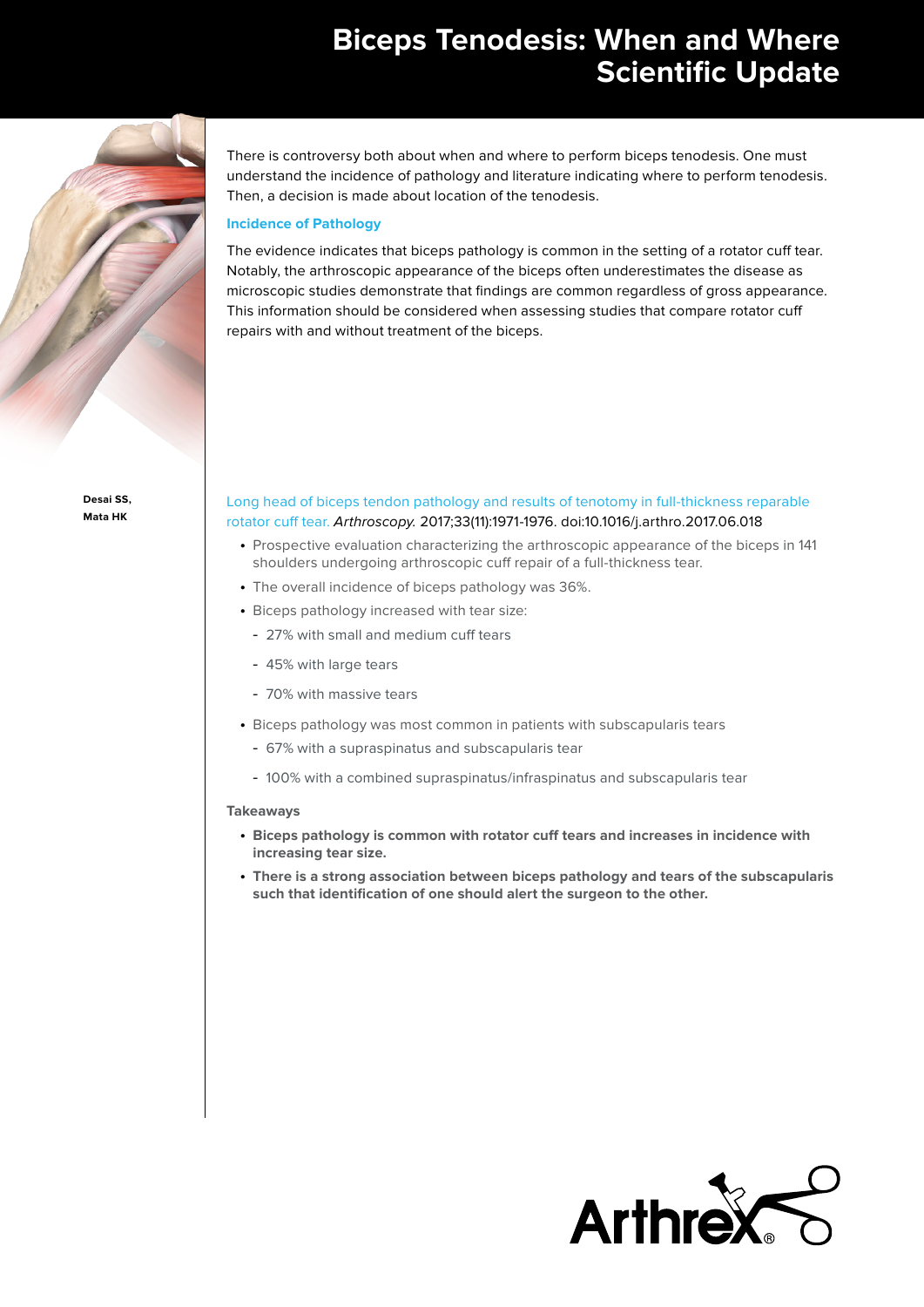# **Biceps Tenodesis: When and Where Scientific Update**



**Desai SS, Mata HK**

There is controversy both about when and where to perform biceps tenodesis. One must understand the incidence of pathology and literature indicating where to perform tenodesis. Then, a decision is made about location of the tenodesis.

## **Incidence of Pathology**

The evidence indicates that biceps pathology is common in the setting of a rotator cuff tear. Notably, the arthroscopic appearance of the biceps often underestimates the disease as microscopic studies demonstrate that findings are common regardless of gross appearance. This information should be considered when assessing studies that compare rotator cuff repairs with and without treatment of the biceps.

# [Long head of biceps tendon pathology and results of tenotomy in full-thickness reparable](https://pubmed.ncbi.nlm.nih.gov/28847573/)  [rotator cuff tear.](https://pubmed.ncbi.nlm.nih.gov/28847573/) Arthroscopy. 2017;33(11):1971-1976. doi:10.1016/j.arthro.2017.06.018

- Prospective evaluation characterizing the arthroscopic appearance of the biceps in 141 shoulders undergoing arthroscopic cuff repair of a full-thickness tear.
- The overall incidence of biceps pathology was 36%.
- Biceps pathology increased with tear size:
	- 27% with small and medium cuff tears
	- 45% with large tears
	- 70% with massive tears
- Biceps pathology was most common in patients with subscapularis tears
	- 67% with a supraspinatus and subscapularis tear
	- 100% with a combined supraspinatus/infraspinatus and subscapularis tear

## **Takeaways**

- **Biceps pathology is common with rotator cuff tears and increases in incidence with increasing tear size.**
- **There is a strong association between biceps pathology and tears of the subscapularis such that identification of one should alert the surgeon to the other.**

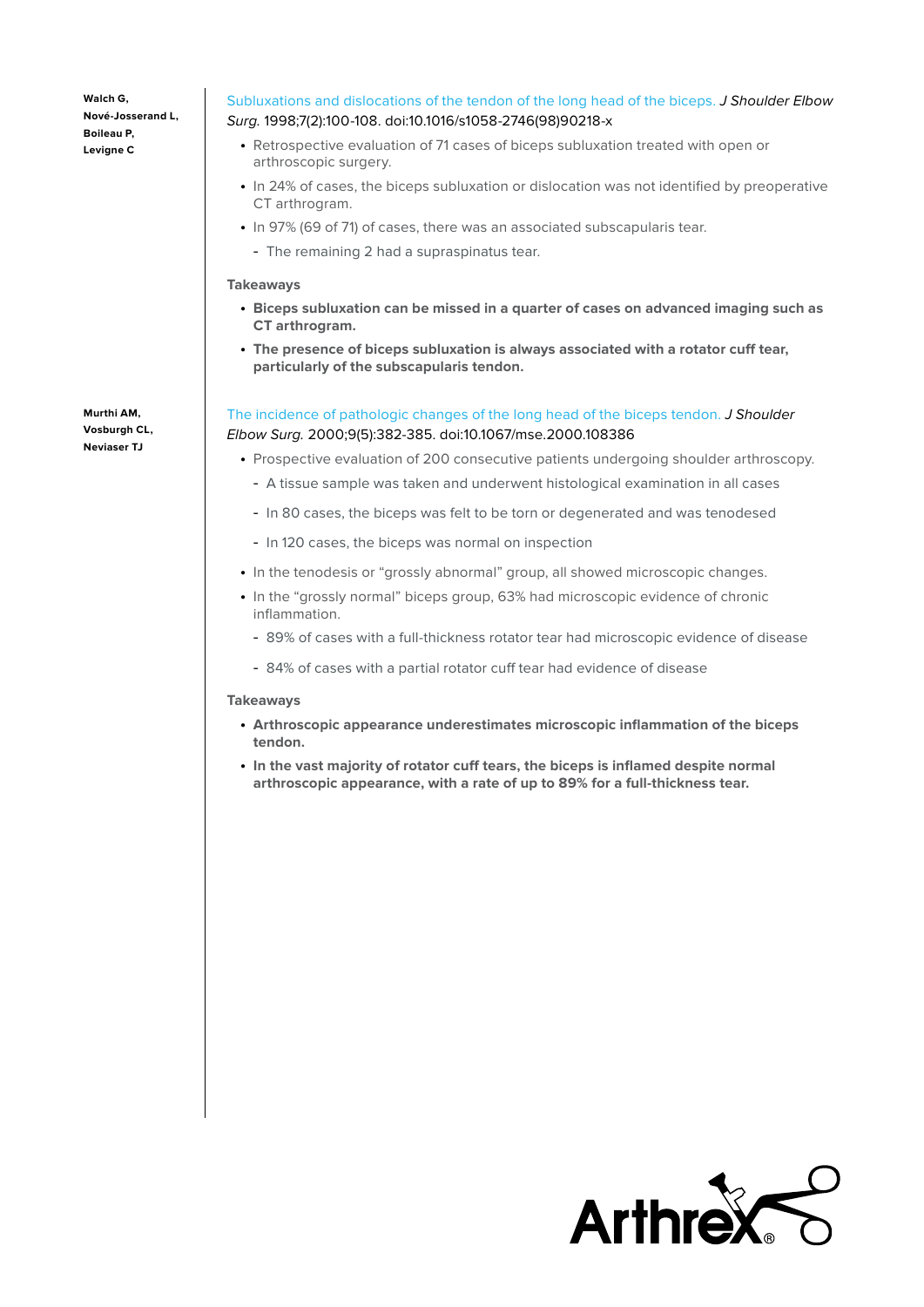**Walch G, Nové-Josserand L, Boileau P, Levigne C**

**Murthi AM, Vosburgh CL,** 

**Neviaser TJ** 

# [Subluxations and dislocations of the tendon of the long head of the biceps](https://pubmed.ncbi.nlm.nih.gov/9593086/). J Shoulder Elbow Surg. 1998;7(2):100-108. doi:10.1016/s1058-2746(98)90218-x

- Retrospective evaluation of 71 cases of biceps subluxation treated with open or arthroscopic surgery.
- In 24% of cases, the biceps subluxation or dislocation was not identified by preoperative CT arthrogram.
- In 97% (69 of 71) of cases, there was an associated subscapularis tear.
	- The remaining 2 had a supraspinatus tear.

## **Takeaways**

- **Biceps subluxation can be missed in a quarter of cases on advanced imaging such as CT arthrogram.**
- **The presence of biceps subluxation is always associated with a rotator cuff tear, particularly of the subscapularis tendon.**

# [The incidence of pathologic changes of the long head of the biceps tendon.](https://pubmed.ncbi.nlm.nih.gov/11075320/) J Shoulder Elbow Surg. 2000;9(5):382-385. doi:10.1067/mse.2000.108386

- Prospective evaluation of 200 consecutive patients undergoing shoulder arthroscopy.
	- A tissue sample was taken and underwent histological examination in all cases
	- In 80 cases, the biceps was felt to be torn or degenerated and was tenodesed
	- In 120 cases, the biceps was normal on inspection
- In the tenodesis or "grossly abnormal" group, all showed microscopic changes.
- In the "grossly normal" biceps group, 63% had microscopic evidence of chronic inflammation.
	- 89% of cases with a full-thickness rotator tear had microscopic evidence of disease
	- 84% of cases with a partial rotator cuff tear had evidence of disease

## **Takeaways**

- **Arthroscopic appearance underestimates microscopic inflammation of the biceps tendon.**
- **In the vast majority of rotator cuff tears, the biceps is inflamed despite normal arthroscopic appearance, with a rate of up to 89% for a full-thickness tear.**

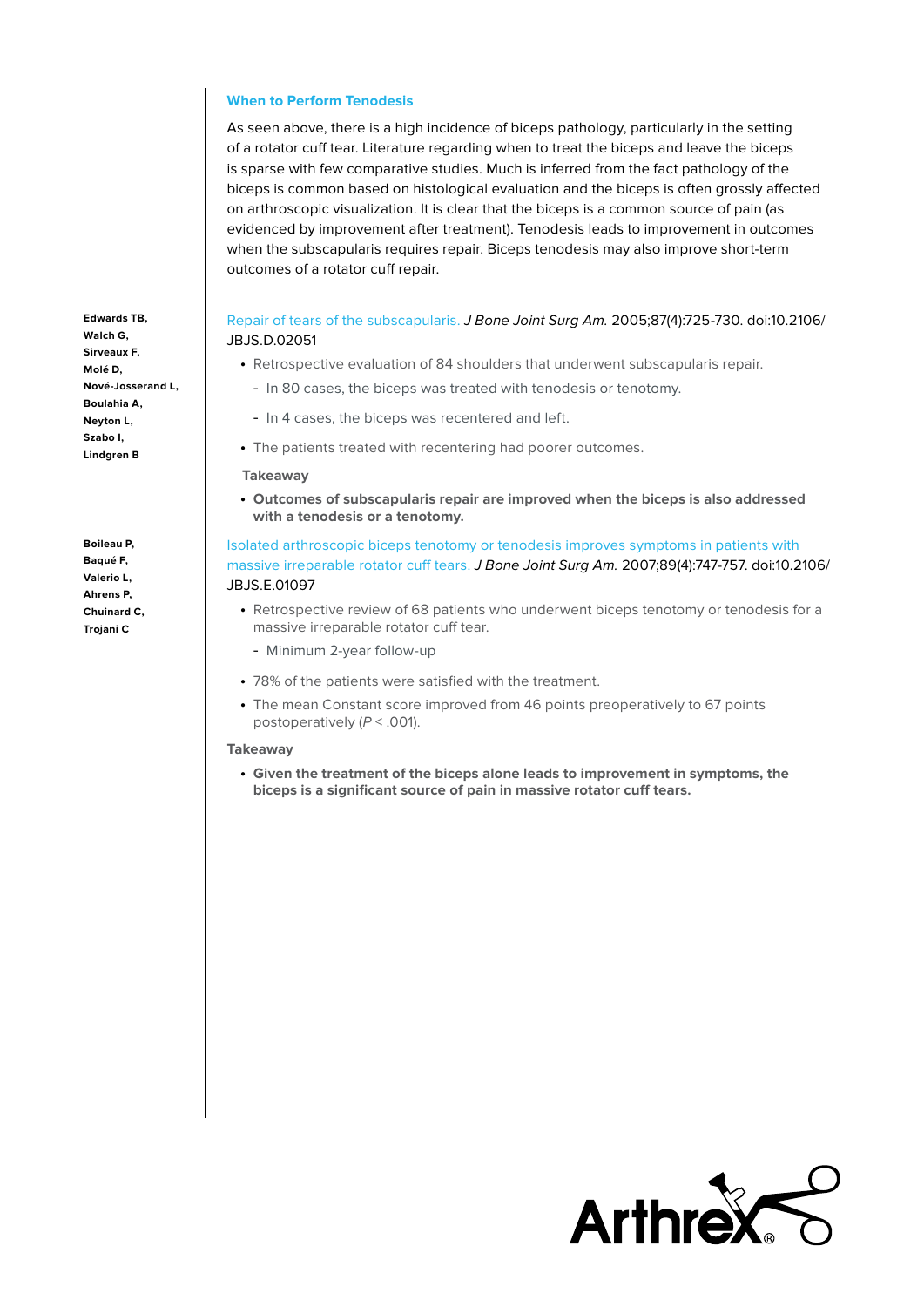## **When to Perform Tenodesis**

As seen above, there is a high incidence of biceps pathology, particularly in the setting of a rotator cuff tear. Literature regarding when to treat the biceps and leave the biceps is sparse with few comparative studies. Much is inferred from the fact pathology of the biceps is common based on histological evaluation and the biceps is often grossly affected on arthroscopic visualization. It is clear that the biceps is a common source of pain (as evidenced by improvement after treatment). Tenodesis leads to improvement in outcomes when the subscapularis requires repair. Biceps tenodesis may also improve short-term outcomes of a rotator cuff repair.

**Edwards TB, Walch G, Sirveaux F, Molé D, Nové-Josserand L, Boulahia A, Neyton L, Szabo I, Lindgren B**

**Boileau P, Baqué F, Valerio L, Ahrens P, Chuinard C, Trojani C**

# [Repair of tears of the subscapularis.](https://pubmed.ncbi.nlm.nih.gov/16510795/) J Bone Joint Surg Am. 2005;87(4):725-730. doi:10.2106/ JBJS.D.02051

- Retrospective evaluation of 84 shoulders that underwent subscapularis repair.
	- In 80 cases, the biceps was treated with tenodesis or tenotomy.
	- In 4 cases, the biceps was recentered and left.
- The patients treated with recentering had poorer outcomes.

#### **Takeaway**

• **Outcomes of subscapularis repair are improved when the biceps is also addressed with a tenodesis or a tenotomy.**

# [Isolated arthroscopic biceps tenotomy or tenodesis improves symptoms in patients with](https://pubmed.ncbi.nlm.nih.gov/17403796/)  [massive irreparable rotator cuff tears](https://pubmed.ncbi.nlm.nih.gov/17403796/). J Bone Joint Surg Am. 2007;89(4):747-757. doi:10.2106/ JBJS.E.01097

- Retrospective review of 68 patients who underwent biceps tenotomy or tenodesis for a massive irreparable rotator cuff tear.
	- Minimum 2-year follow-up
- 78% of the patients were satisfied with the treatment.
- The mean Constant score improved from 46 points preoperatively to 67 points postoperatively  $(P < .001)$ .

#### **Takeaway**

• **Given the treatment of the biceps alone leads to improvement in symptoms, the biceps is a significant source of pain in massive rotator cuff tears.**

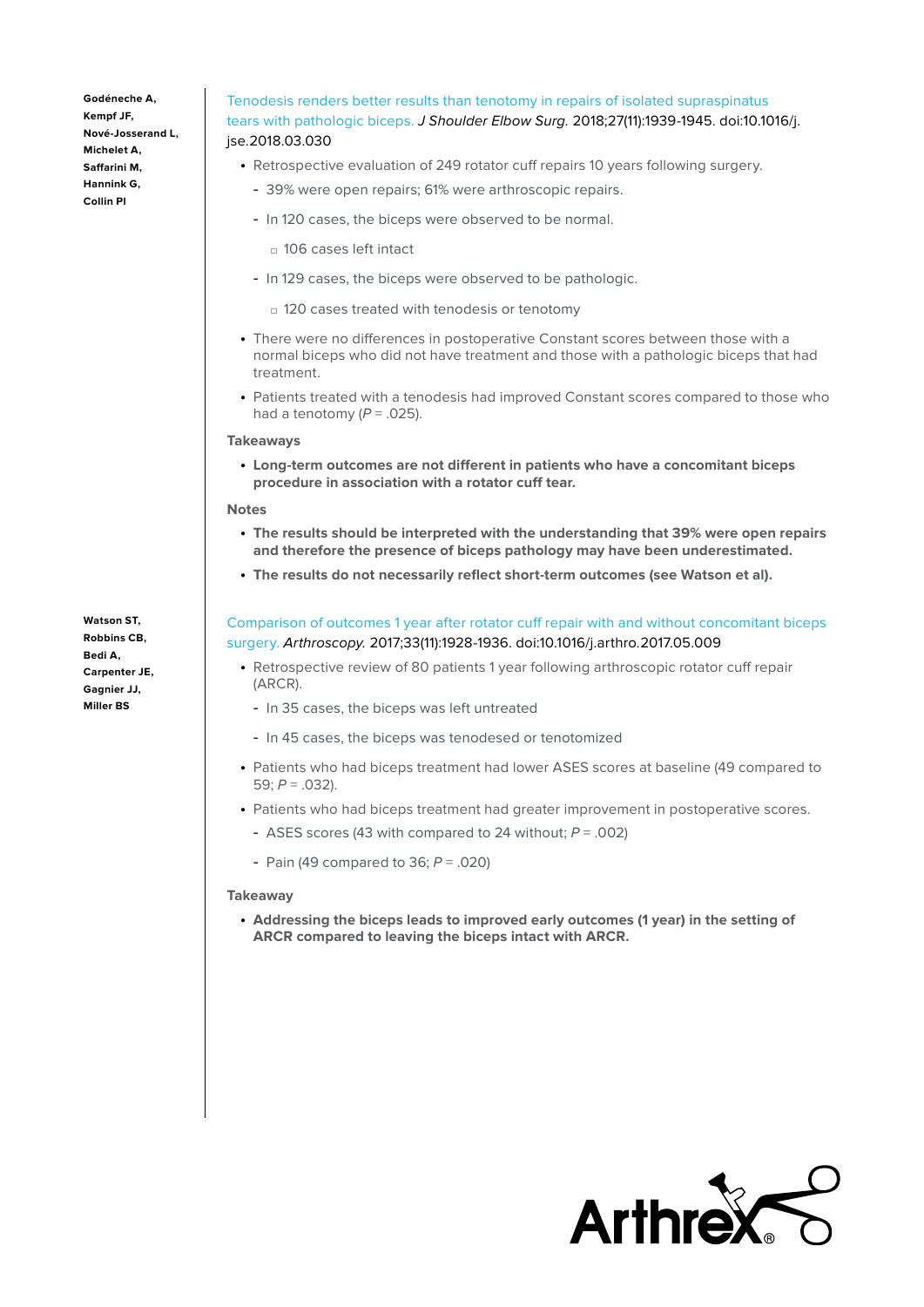**Godéneche A, Kempf JF, Nové-Josserand L, Michelet A, Saffarini M, Hannink G, Collin Pl**

# [Tenodesis renders better results than tenotomy in repairs of isolated supraspinatus](https://pubmed.ncbi.nlm.nih.gov/29784596/)  [tears with pathologic biceps.](https://pubmed.ncbi.nlm.nih.gov/29784596/) J Shoulder Elbow Surg. 2018;27(11):1939-1945. doi:10.1016/j. jse.2018.03.030

- Retrospective evaluation of 249 rotator cuff repairs 10 years following surgery.
	- 39% were open repairs; 61% were arthroscopic repairs.
	- In 120 cases, the biceps were observed to be normal.
		- □ 106 cases left intact
	- In 129 cases, the biceps were observed to be pathologic.
		- □ 120 cases treated with tenodesis or tenotomy
- There were no differences in postoperative Constant scores between those with a normal biceps who did not have treatment and those with a pathologic biceps that had treatment.
- Patients treated with a tenodesis had improved Constant scores compared to those who had a tenotomy  $(P = .025)$ .

### **Takeaways**

• **Long-term outcomes are not different in patients who have a concomitant biceps procedure in association with a rotator cuff tear.**

#### **Notes**

- **The results should be interpreted with the understanding that 39% were open repairs and therefore the presence of biceps pathology may have been underestimated.**
- **The results do not necessarily reflect short-term outcomes (see Watson et al).**

# [Comparison of outcomes 1 year after rotator cuff repair with and without concomitant biceps](https://pubmed.ncbi.nlm.nih.gov/28822640/)  [surgery](https://pubmed.ncbi.nlm.nih.gov/28822640/). Arthroscopy. 2017;33(11):1928-1936. doi:10.1016/j.arthro.2017.05.009

- Retrospective review of 80 patients 1 year following arthroscopic rotator cuff repair (ARCR).
	- In 35 cases, the biceps was left untreated
	- In 45 cases, the biceps was tenodesed or tenotomized
- Patients who had biceps treatment had lower ASES scores at baseline (49 compared to 59;  $P = .032$ ).
- Patients who had biceps treatment had greater improvement in postoperative scores.
	- ASES scores (43 with compared to 24 without;  $P = .002$ )
	- Pain (49 compared to 36;  $P = .020$ )

#### **Takeaway**

• **Addressing the biceps leads to improved early outcomes (1 year) in the setting of ARCR compared to leaving the biceps intact with ARCR.**



**Watson ST, Robbins CB, Bedi A, Carpenter JE, Gagnier JJ, Miller BS**